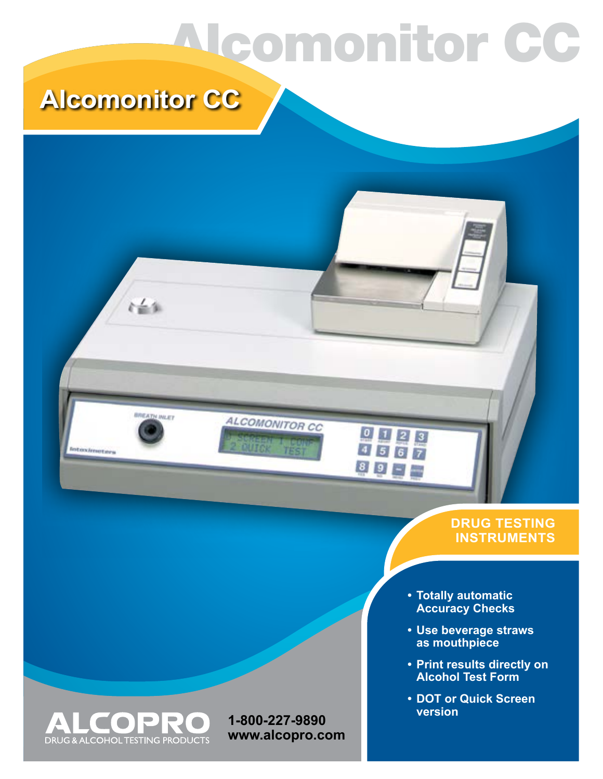# Alcomonitor CC

0023

 $89 - 7$ 

### **Alcomonitor CC**

社会制

**ATH INLEY** 

**Infoximuters** 

#### **DRUG TESTING INSTRUMENTS**

- **• Totally automatic Accuracy Checks**
- **• Use beverage straws as mouthpiece**
- **• Print results directly on Alcohol Test Form**
- **• DOT or Quick Screen version**



**1-800-227-9890 www.alcopro.com**

**ALCOMONITOR CC**